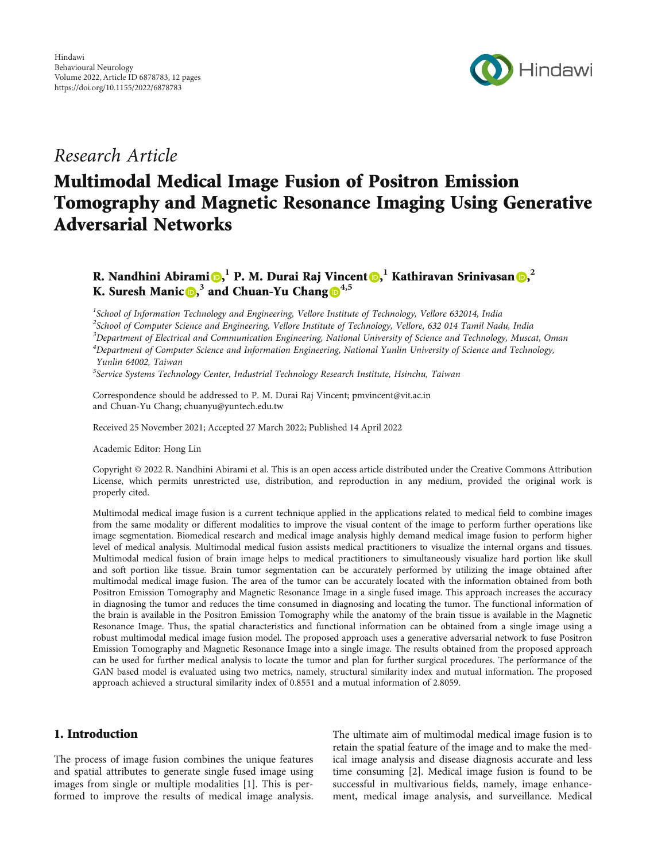

# Research Article

# Multimodal Medical Image Fusion of Positron Emission Tomography and Magnetic Resonance Imaging Using Generative Adversarial Networks

# R. Nandhini Abirami <mark>O[,](https://orcid.org/0000-0002-9352-0237) I P. M. Durai Raj Vincent D, I Kathiravan Srinivasan D,  $^2$ </mark> K. Suresh Manic **D**,<sup>3</sup> and Chuan-Yu Chang  $\mathbb{D}^{4,5}$

<sup>1</sup>School of Information Technology and Engineering, Vellore Institute of Technology, Vellore 632014, India <sup>2</sup>School of Computer Science and Engineering, Vellore Institute of Technology, Vellore, 632 014 Tamil Nadu, India  $3$ Department of Electrical and Communication Engineering, National University of Science and Technology, Muscat, Oman <sup>4</sup>Department of Computer Science and Information Engineering, National Yunlin University of Science and Technology, Yunlin 64002, Taiwan

<sup>5</sup>Service Systems Technology Center, Industrial Technology Research Institute, Hsinchu, Taiwan

Correspondence should be addressed to P. M. Durai Raj Vincent; pmvincent@vit.ac.in and Chuan-Yu Chang; chuanyu@yuntech.edu.tw

Received 25 November 2021; Accepted 27 March 2022; Published 14 April 2022

Academic Editor: Hong Lin

Copyright © 2022 R. Nandhini Abirami et al. This is an open access article distributed under the [Creative Commons Attribution](https://creativecommons.org/licenses/by/4.0/) [License,](https://creativecommons.org/licenses/by/4.0/) which permits unrestricted use, distribution, and reproduction in any medium, provided the original work is properly cited.

Multimodal medical image fusion is a current technique applied in the applications related to medical field to combine images from the same modality or different modalities to improve the visual content of the image to perform further operations like image segmentation. Biomedical research and medical image analysis highly demand medical image fusion to perform higher level of medical analysis. Multimodal medical fusion assists medical practitioners to visualize the internal organs and tissues. Multimodal medical fusion of brain image helps to medical practitioners to simultaneously visualize hard portion like skull and soft portion like tissue. Brain tumor segmentation can be accurately performed by utilizing the image obtained after multimodal medical image fusion. The area of the tumor can be accurately located with the information obtained from both Positron Emission Tomography and Magnetic Resonance Image in a single fused image. This approach increases the accuracy in diagnosing the tumor and reduces the time consumed in diagnosing and locating the tumor. The functional information of the brain is available in the Positron Emission Tomography while the anatomy of the brain tissue is available in the Magnetic Resonance Image. Thus, the spatial characteristics and functional information can be obtained from a single image using a robust multimodal medical image fusion model. The proposed approach uses a generative adversarial network to fuse Positron Emission Tomography and Magnetic Resonance Image into a single image. The results obtained from the proposed approach can be used for further medical analysis to locate the tumor and plan for further surgical procedures. The performance of the GAN based model is evaluated using two metrics, namely, structural similarity index and mutual information. The proposed approach achieved a structural similarity index of 0.8551 and a mutual information of 2.8059.

# 1. Introduction

The process of image fusion combines the unique features and spatial attributes to generate single fused image using images from single or multiple modalities [[1\]](#page-9-0). This is performed to improve the results of medical image analysis. The ultimate aim of multimodal medical image fusion is to retain the spatial feature of the image and to make the medical image analysis and disease diagnosis accurate and less time consuming [[2\]](#page-10-0). Medical image fusion is found to be successful in multivarious fields, namely, image enhancement, medical image analysis, and surveillance. Medical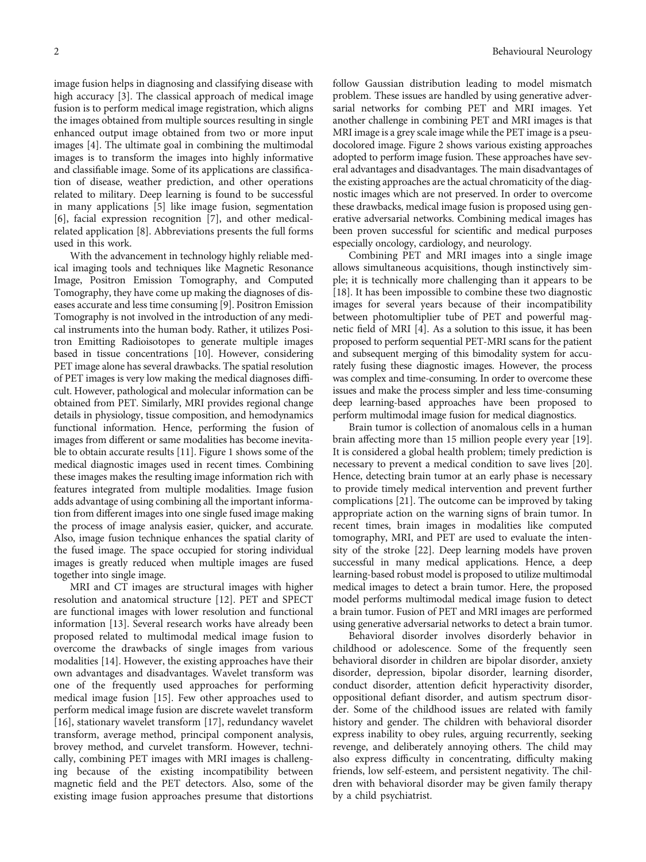image fusion helps in diagnosing and classifying disease with high accuracy [[3](#page-10-0)]. The classical approach of medical image fusion is to perform medical image registration, which aligns the images obtained from multiple sources resulting in single enhanced output image obtained from two or more input images [[4\]](#page-10-0). The ultimate goal in combining the multimodal images is to transform the images into highly informative and classifiable image. Some of its applications are classification of disease, weather prediction, and other operations related to military. Deep learning is found to be successful in many applications [[5\]](#page-10-0) like image fusion, segmentation [\[6](#page-10-0)], facial expression recognition [\[7](#page-10-0)], and other medicalrelated application [\[8\]](#page-10-0). Abbreviations presents the full forms used in this work.

With the advancement in technology highly reliable medical imaging tools and techniques like Magnetic Resonance Image, Positron Emission Tomography, and Computed Tomography, they have come up making the diagnoses of diseases accurate and less time consuming [\[9](#page-10-0)]. Positron Emission Tomography is not involved in the introduction of any medical instruments into the human body. Rather, it utilizes Positron Emitting Radioisotopes to generate multiple images based in tissue concentrations [\[10](#page-10-0)]. However, considering PET image alone has several drawbacks. The spatial resolution of PET images is very low making the medical diagnoses difficult. However, pathological and molecular information can be obtained from PET. Similarly, MRI provides regional change details in physiology, tissue composition, and hemodynamics functional information. Hence, performing the fusion of images from different or same modalities has become inevitable to obtain accurate results [\[11\]](#page-10-0). Figure [1](#page-2-0) shows some of the medical diagnostic images used in recent times. Combining these images makes the resulting image information rich with features integrated from multiple modalities. Image fusion adds advantage of using combining all the important information from different images into one single fused image making the process of image analysis easier, quicker, and accurate. Also, image fusion technique enhances the spatial clarity of the fused image. The space occupied for storing individual images is greatly reduced when multiple images are fused together into single image.

MRI and CT images are structural images with higher resolution and anatomical structure [\[12\]](#page-10-0). PET and SPECT are functional images with lower resolution and functional information [[13](#page-10-0)]. Several research works have already been proposed related to multimodal medical image fusion to overcome the drawbacks of single images from various modalities [\[14\]](#page-10-0). However, the existing approaches have their own advantages and disadvantages. Wavelet transform was one of the frequently used approaches for performing medical image fusion [[15\]](#page-10-0). Few other approaches used to perform medical image fusion are discrete wavelet transform [\[16](#page-10-0)], stationary wavelet transform [[17\]](#page-10-0), redundancy wavelet transform, average method, principal component analysis, brovey method, and curvelet transform. However, technically, combining PET images with MRI images is challenging because of the existing incompatibility between magnetic field and the PET detectors. Also, some of the existing image fusion approaches presume that distortions

follow Gaussian distribution leading to model mismatch problem. These issues are handled by using generative adversarial networks for combing PET and MRI images. Yet another challenge in combining PET and MRI images is that MRI image is a grey scale image while the PET image is a pseudocolored image. Figure [2](#page-2-0) shows various existing approaches adopted to perform image fusion. These approaches have several advantages and disadvantages. The main disadvantages of the existing approaches are the actual chromaticity of the diagnostic images which are not preserved. In order to overcome these drawbacks, medical image fusion is proposed using generative adversarial networks. Combining medical images has been proven successful for scientific and medical purposes especially oncology, cardiology, and neurology.

Combining PET and MRI images into a single image allows simultaneous acquisitions, though instinctively simple; it is technically more challenging than it appears to be [\[18\]](#page-10-0). It has been impossible to combine these two diagnostic images for several years because of their incompatibility between photomultiplier tube of PET and powerful magnetic field of MRI [\[4](#page-10-0)]. As a solution to this issue, it has been proposed to perform sequential PET-MRI scans for the patient and subsequent merging of this bimodality system for accurately fusing these diagnostic images. However, the process was complex and time-consuming. In order to overcome these issues and make the process simpler and less time-consuming deep learning-based approaches have been proposed to perform multimodal image fusion for medical diagnostics.

Brain tumor is collection of anomalous cells in a human brain affecting more than 15 million people every year [[19](#page-10-0)]. It is considered a global health problem; timely prediction is necessary to prevent a medical condition to save lives [[20](#page-10-0)]. Hence, detecting brain tumor at an early phase is necessary to provide timely medical intervention and prevent further complications [[21](#page-10-0)]. The outcome can be improved by taking appropriate action on the warning signs of brain tumor. In recent times, brain images in modalities like computed tomography, MRI, and PET are used to evaluate the intensity of the stroke [\[22\]](#page-10-0). Deep learning models have proven successful in many medical applications. Hence, a deep learning-based robust model is proposed to utilize multimodal medical images to detect a brain tumor. Here, the proposed model performs multimodal medical image fusion to detect a brain tumor. Fusion of PET and MRI images are performed using generative adversarial networks to detect a brain tumor.

Behavioral disorder involves disorderly behavior in childhood or adolescence. Some of the frequently seen behavioral disorder in children are bipolar disorder, anxiety disorder, depression, bipolar disorder, learning disorder, conduct disorder, attention deficit hyperactivity disorder, oppositional defiant disorder, and autism spectrum disorder. Some of the childhood issues are related with family history and gender. The children with behavioral disorder express inability to obey rules, arguing recurrently, seeking revenge, and deliberately annoying others. The child may also express difficulty in concentrating, difficulty making friends, low self-esteem, and persistent negativity. The children with behavioral disorder may be given family therapy by a child psychiatrist.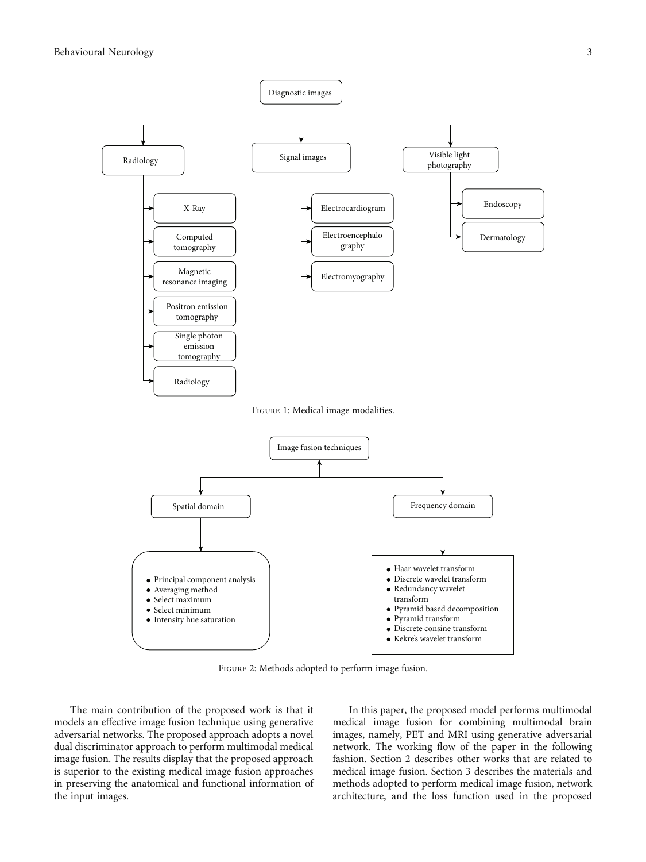<span id="page-2-0"></span>

Figure 2: Methods adopted to perform image fusion.

The main contribution of the proposed work is that it models an effective image fusion technique using generative adversarial networks. The proposed approach adopts a novel dual discriminator approach to perform multimodal medical image fusion. The results display that the proposed approach is superior to the existing medical image fusion approaches in preserving the anatomical and functional information of the input images.

In this paper, the proposed model performs multimodal medical image fusion for combining multimodal brain images, namely, PET and MRI using generative adversarial network. The working flow of the paper in the following fashion. Section [2](#page-3-0) describes other works that are related to medical image fusion. Section [3](#page-5-0) describes the materials and methods adopted to perform medical image fusion, network architecture, and the loss function used in the proposed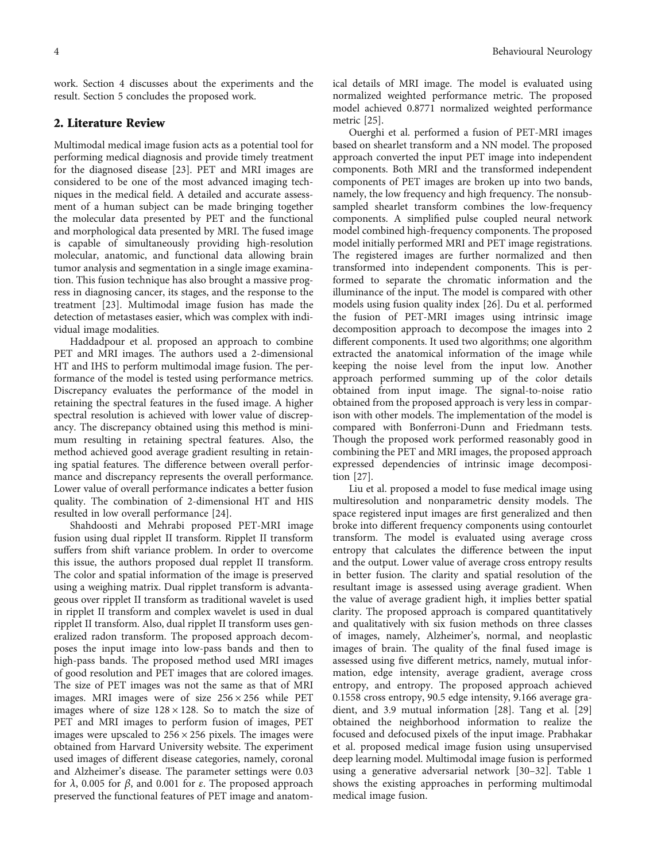<span id="page-3-0"></span>work. Section [4](#page-8-0) discusses about the experiments and the

### 2. Literature Review

result. Section [5](#page-9-0) concludes the proposed work.

Multimodal medical image fusion acts as a potential tool for performing medical diagnosis and provide timely treatment for the diagnosed disease [\[23\]](#page-10-0). PET and MRI images are considered to be one of the most advanced imaging techniques in the medical field. A detailed and accurate assessment of a human subject can be made bringing together the molecular data presented by PET and the functional and morphological data presented by MRI. The fused image is capable of simultaneously providing high-resolution molecular, anatomic, and functional data allowing brain tumor analysis and segmentation in a single image examination. This fusion technique has also brought a massive progress in diagnosing cancer, its stages, and the response to the treatment [\[23\]](#page-10-0). Multimodal image fusion has made the detection of metastases easier, which was complex with individual image modalities.

Haddadpour et al. proposed an approach to combine PET and MRI images. The authors used a 2-dimensional HT and IHS to perform multimodal image fusion. The performance of the model is tested using performance metrics. Discrepancy evaluates the performance of the model in retaining the spectral features in the fused image. A higher spectral resolution is achieved with lower value of discrepancy. The discrepancy obtained using this method is minimum resulting in retaining spectral features. Also, the method achieved good average gradient resulting in retaining spatial features. The difference between overall performance and discrepancy represents the overall performance. Lower value of overall performance indicates a better fusion quality. The combination of 2-dimensional HT and HIS resulted in low overall performance [\[24\]](#page-10-0).

Shahdoosti and Mehrabi proposed PET-MRI image fusion using dual ripplet II transform. Ripplet II transform suffers from shift variance problem. In order to overcome this issue, the authors proposed dual repplet II transform. The color and spatial information of the image is preserved using a weighing matrix. Dual ripplet transform is advantageous over ripplet II transform as traditional wavelet is used in ripplet II transform and complex wavelet is used in dual ripplet II transform. Also, dual ripplet II transform uses generalized radon transform. The proposed approach decomposes the input image into low-pass bands and then to high-pass bands. The proposed method used MRI images of good resolution and PET images that are colored images. The size of PET images was not the same as that of MRI images. MRI images were of size  $256 \times 256$  while PET images where of size  $128 \times 128$ . So to match the size of PET and MRI images to perform fusion of images, PET images were upscaled to  $256 \times 256$  pixels. The images were obtained from Harvard University website. The experiment used images of different disease categories, namely, coronal and Alzheimer's disease. The parameter settings were 0.03 for *λ*, 0.005 for *β*, and 0.001 for *ε*. The proposed approach preserved the functional features of PET image and anatomical details of MRI image. The model is evaluated using normalized weighted performance metric. The proposed model achieved 0.8771 normalized weighted performance metric [\[25\]](#page-10-0).

Ouerghi et al. performed a fusion of PET-MRI images based on shearlet transform and a NN model. The proposed approach converted the input PET image into independent components. Both MRI and the transformed independent components of PET images are broken up into two bands, namely, the low frequency and high frequency. The nonsubsampled shearlet transform combines the low-frequency components. A simplified pulse coupled neural network model combined high-frequency components. The proposed model initially performed MRI and PET image registrations. The registered images are further normalized and then transformed into independent components. This is performed to separate the chromatic information and the illuminance of the input. The model is compared with other models using fusion quality index [[26](#page-10-0)]. Du et al. performed the fusion of PET-MRI images using intrinsic image decomposition approach to decompose the images into 2 different components. It used two algorithms; one algorithm extracted the anatomical information of the image while keeping the noise level from the input low. Another approach performed summing up of the color details obtained from input image. The signal-to-noise ratio obtained from the proposed approach is very less in comparison with other models. The implementation of the model is compared with Bonferroni-Dunn and Friedmann tests. Though the proposed work performed reasonably good in combining the PET and MRI images, the proposed approach expressed dependencies of intrinsic image decomposition [\[27](#page-10-0)].

Liu et al. proposed a model to fuse medical image using multiresolution and nonparametric density models. The space registered input images are first generalized and then broke into different frequency components using contourlet transform. The model is evaluated using average cross entropy that calculates the difference between the input and the output. Lower value of average cross entropy results in better fusion. The clarity and spatial resolution of the resultant image is assessed using average gradient. When the value of average gradient high, it implies better spatial clarity. The proposed approach is compared quantitatively and qualitatively with six fusion methods on three classes of images, namely, Alzheimer's, normal, and neoplastic images of brain. The quality of the final fused image is assessed using five different metrics, namely, mutual information, edge intensity, average gradient, average cross entropy, and entropy. The proposed approach achieved 0.1558 cross entropy, 90.5 edge intensity, 9.166 average gradient, and 3.9 mutual information [\[28\]](#page-10-0). Tang et al. [[29\]](#page-10-0) obtained the neighborhood information to realize the focused and defocused pixels of the input image. Prabhakar et al. proposed medical image fusion using unsupervised deep learning model. Multimodal image fusion is performed using a generative adversarial network [\[30](#page-10-0)–[32\]](#page-10-0). Table [1](#page-4-0) shows the existing approaches in performing multimodal medical image fusion.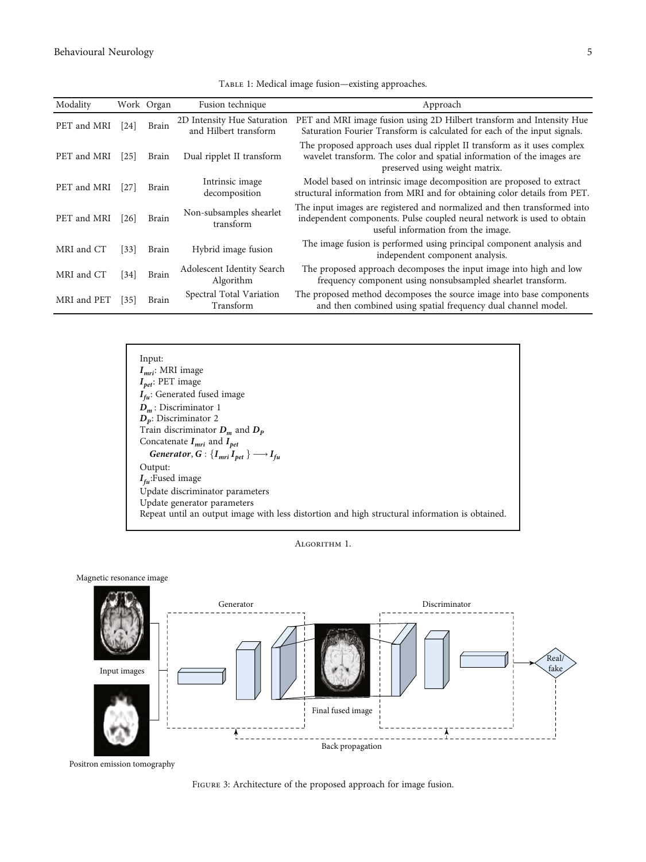<span id="page-4-0"></span>

| Modality    |                   | Work Organ   | Fusion technique                                     | Approach                                                                                                                                                                                 |
|-------------|-------------------|--------------|------------------------------------------------------|------------------------------------------------------------------------------------------------------------------------------------------------------------------------------------------|
| PET and MRI | [24]              | Brain        | 2D Intensity Hue Saturation<br>and Hilbert transform | PET and MRI image fusion using 2D Hilbert transform and Intensity Hue<br>Saturation Fourier Transform is calculated for each of the input signals.                                       |
| PET and MRI | 25                | Brain        | Dual ripplet II transform                            | The proposed approach uses dual ripplet II transform as it uses complex<br>wavelet transform. The color and spatial information of the images are<br>preserved using weight matrix.      |
| PET and MRI | $[27]$            | Brain        | Intrinsic image<br>decomposition                     | Model based on intrinsic image decomposition are proposed to extract<br>structural information from MRI and for obtaining color details from PET.                                        |
| PET and MRI | [26]              | Brain        | Non-subsamples shearlet<br>transform                 | The input images are registered and normalized and then transformed into<br>independent components. Pulse coupled neural network is used to obtain<br>useful information from the image. |
| MRI and CT  | $\left[33\right]$ | <b>Brain</b> | Hybrid image fusion                                  | The image fusion is performed using principal component analysis and<br>independent component analysis.                                                                                  |
| MRI and CT  | [34]              | Brain        | Adolescent Identity Search<br>Algorithm              | The proposed approach decomposes the input image into high and low<br>frequency component using nonsubsampled shearlet transform.                                                        |
| MRI and PET | [35]              | Brain        | Spectral Total Variation<br>Transform                | The proposed method decomposes the source image into base components<br>and then combined using spatial frequency dual channel model.                                                    |

TABLE 1: Medical image fusion—existing approaches.



Algorithm 1.



Magnetic resonance image



FIGURE 3: Architecture of the proposed approach for image fusion.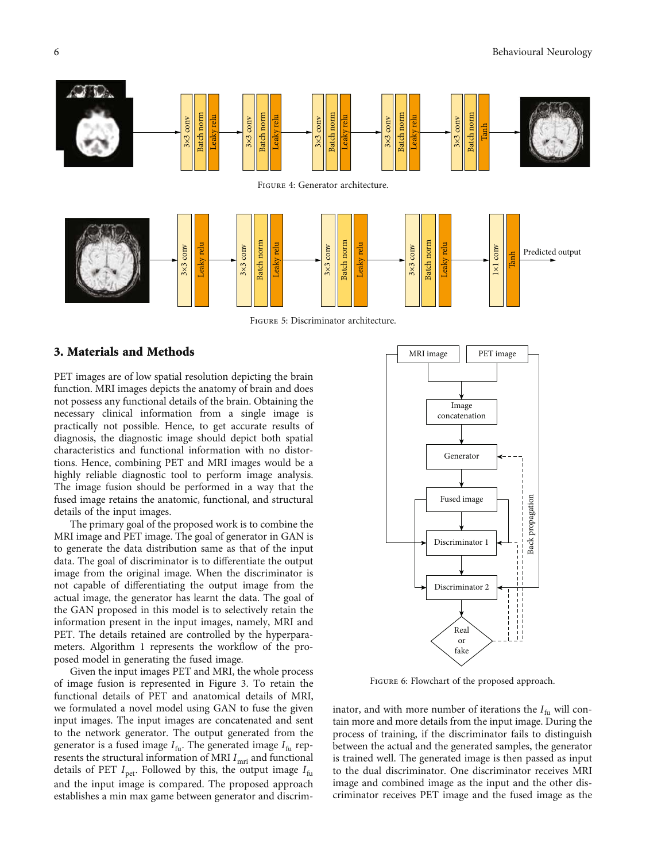<span id="page-5-0"></span>

Figure 5: Discriminator architecture.

### 3. Materials and Methods

PET images are of low spatial resolution depicting the brain function. MRI images depicts the anatomy of brain and does not possess any functional details of the brain. Obtaining the necessary clinical information from a single image is practically not possible. Hence, to get accurate results of diagnosis, the diagnostic image should depict both spatial characteristics and functional information with no distortions. Hence, combining PET and MRI images would be a highly reliable diagnostic tool to perform image analysis. The image fusion should be performed in a way that the fused image retains the anatomic, functional, and structural details of the input images.

The primary goal of the proposed work is to combine the MRI image and PET image. The goal of generator in GAN is to generate the data distribution same as that of the input data. The goal of discriminator is to differentiate the output image from the original image. When the discriminator is not capable of differentiating the output image from the actual image, the generator has learnt the data. The goal of the GAN proposed in this model is to selectively retain the information present in the input images, namely, MRI and PET. The details retained are controlled by the hyperparameters. Algorithm [1](#page-4-0) represents the workflow of the proposed model in generating the fused image.

Given the input images PET and MRI, the whole process of image fusion is represented in Figure [3.](#page-4-0) To retain the functional details of PET and anatomical details of MRI, we formulated a novel model using GAN to fuse the given input images. The input images are concatenated and sent to the network generator. The output generated from the generator is a fused image *I* fu. The generated image *I*fu represents the structural information of MRI  $I_{\mathrm{mri}}$  and functional details of PET  $I_{\text{pet}}$ . Followed by this, the output image  $I_{\text{fu}}$ and the input image is compared. The proposed approach establishes a min max game between generator and discrim-



FIGURE 6: Flowchart of the proposed approach.

inator, and with more number of iterations the *I* fu will contain more and more details from the input image. During the process of training, if the discriminator fails to distinguish between the actual and the generated samples, the generator is trained well. The generated image is then passed as input to the dual discriminator. One discriminator receives MRI image and combined image as the input and the other discriminator receives PET image and the fused image as the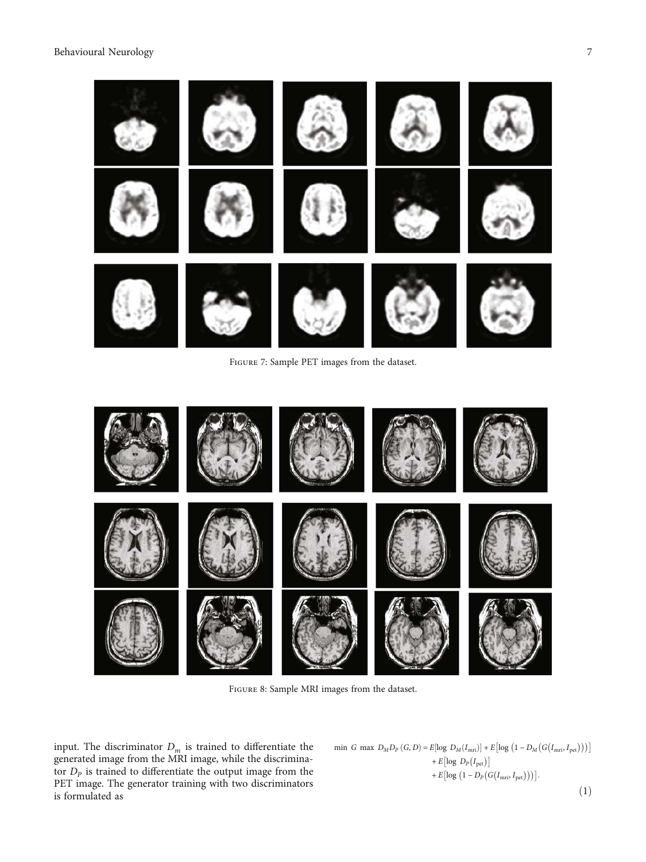<span id="page-6-0"></span>

Figure 7: Sample PET images from the dataset.



Figure 8: Sample MRI images from the dataset.

input. The discriminator *<sup>D</sup><sup>m</sup>* is trained to differentiate the generated image from the MRI image, while the discriminafor  $D_p$  is trained to differentiate the output image from the PET image. The generator training with two discriminators is formulated as

$$
\begin{aligned}\n\text{min } G \text{ max } D_M D_P \left( G, D \right) &= E[\log \ D_M (I_{\text{mri}})] + E\left[ \log \left( 1 - D_M \left( G \left( I_{\text{mri}}, I_{\text{pet}} \right) \right) \right) \right] \\
&\quad + E\left[ \log \ D_P \left( I_{\text{pet}} \right) \right] \\
&\quad + E\left[ \log \left( 1 - D_P \left( G \left( I_{\text{mri}}, I_{\text{pet}} \right) \right) \right) \right].\n\end{aligned}
$$

 $(1)$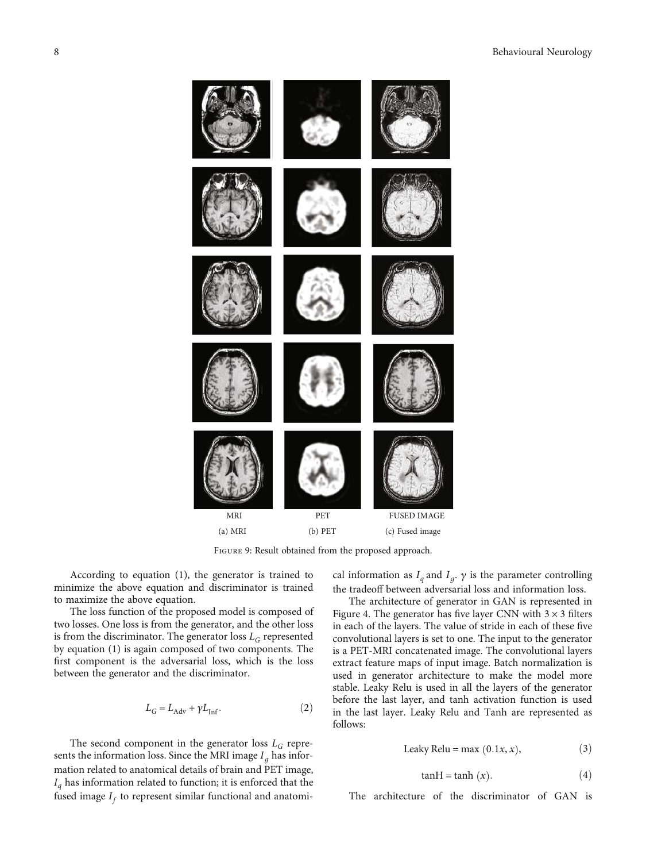<span id="page-7-0"></span>

Figure 9: Result obtained from the proposed approach.

According to equation ([1\)](#page-6-0), the generator is trained to minimize the above equation and discriminator is trained to maximize the above equation.

The loss function of the proposed model is composed of two losses. One loss is from the generator, and the other loss is from the discriminator. The generator loss  $L_G$  represented by equation ([1\)](#page-6-0) is again composed of two components. The first component is the adversarial loss, which is the loss between the generator and the discriminator.

$$
L_G = L_{\rm Adv} + \gamma L_{\rm Inf}. \eqno{(2)}
$$

The second component in the generator loss  $L_G$  represents the information loss. Since the MRI image  $I_q$  has information related to anatomical details of brain and PET image, *I<sup>q</sup>* has information related to function; it is enforced that the fused image  $I_f$  to represent similar functional and anatomi-

cal information as  $I_q$  and  $I_g$ .  $\gamma$  is the parameter controlling the tradeoff between adversarial loss and information loss.

The architecture of generator in GAN is represented in Figure [4.](#page-5-0) The generator has five layer CNN with  $3 \times 3$  filters in each of the layers. The value of stride in each of these five convolutional layers is set to one. The input to the generator is a PET-MRI concatenated image. The convolutional layers extract feature maps of input image. Batch normalization is used in generator architecture to make the model more stable. Leaky Relu is used in all the layers of the generator before the last layer, and tanh activation function is used in the last layer. Leaky Relu and Tanh are represented as follows:

$$
Leaky Relu = max (0.1x, x),
$$
 (3)

$$
tanH = tanh (x). \t(4)
$$

The architecture of the discriminator of GAN is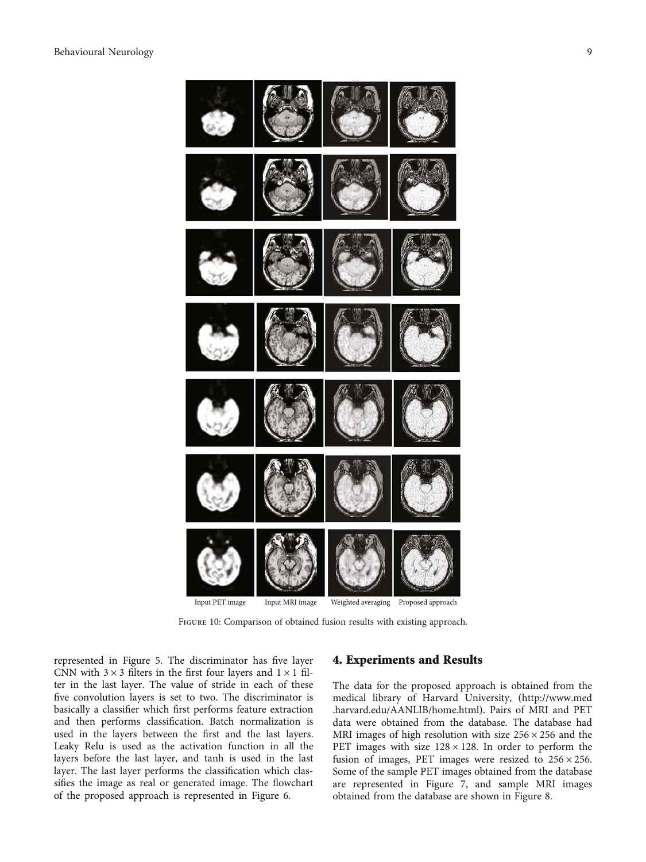<span id="page-8-0"></span>

Figure 10: Comparison of obtained fusion results with existing approach.

represented in Figure [5.](#page-5-0) The discriminator has five layer CNN with  $3 \times 3$  filters in the first four layers and  $1 \times 1$  filter in the last layer. The value of stride in each of these five convolution layers is set to two. The discriminator is basically a classifier which first performs feature extraction and then performs classification. Batch normalization is used in the layers between the first and the last layers. Leaky Relu is used as the activation function in all the layers before the last layer, and tanh is used in the last layer. The last layer performs the classification which classifies the image as real or generated image. The flowchart of the proposed approach is represented in Figure [6.](#page-5-0)

#### 4. Experiments and Results

The data for the proposed approach is obtained from the medical library of Harvard University, ([http://www.med](http://www.med.harvard) [.harvard](http://www.med.harvard).edu/AANLIB/home.html). Pairs of MRI and PET data were obtained from the database. The database had MRI images of high resolution with size  $256 \times 256$  and the PET images with size  $128 \times 128$ . In order to perform the fusion of images, PET images were resized to  $256 \times 256$ . Some of the sample PET images obtained from the database are represented in Figure [7](#page-6-0), and sample MRI images obtained from the database are shown in Figure [8.](#page-6-0)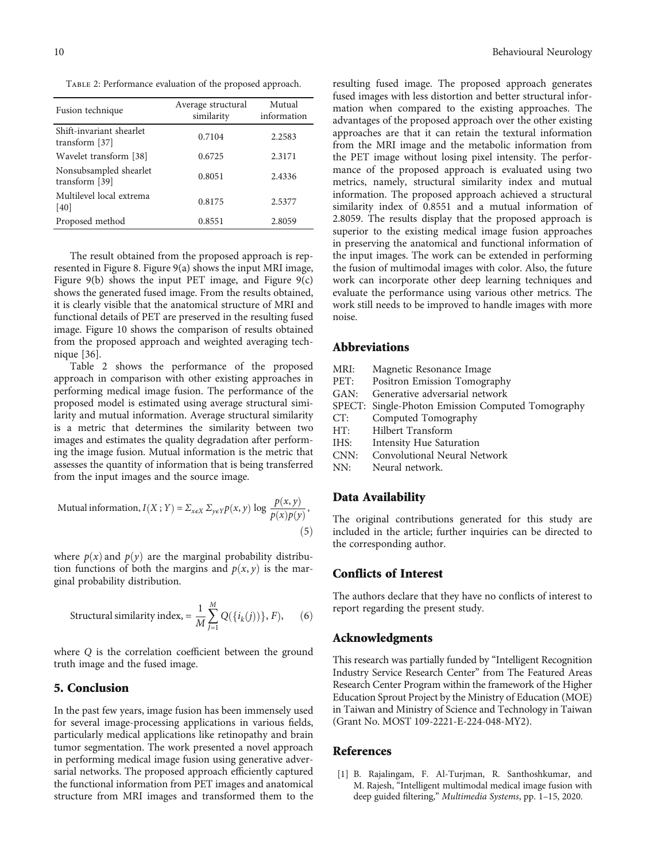<span id="page-9-0"></span>Table 2: Performance evaluation of the proposed approach.

| Fusion technique                           | Average structural<br>similarity | Mutual<br>information |
|--------------------------------------------|----------------------------------|-----------------------|
| Shift-invariant shearlet<br>transform [37] | 0.7104                           | 2.2583                |
| Wavelet transform [38]                     | 0.6725                           | 2.3171                |
| Nonsubsampled shearlet<br>transform [39]   | 0.8051                           | 2.4336                |
| Multilevel local extrema<br>[40]           | 0.8175                           | 2.5377                |
| Proposed method                            | 0.8551                           | 2.8059                |

The result obtained from the proposed approach is represented in Figure [8.](#page-6-0) Figure [9\(a\)](#page-7-0) shows the input MRI image, Figure  $9(b)$  shows the input PET image, and Figure  $9(c)$ shows the generated fused image. From the results obtained, it is clearly visible that the anatomical structure of MRI and functional details of PET are preserved in the resulting fused image. Figure [10](#page-8-0) shows the comparison of results obtained from the proposed approach and weighted averaging technique [[36\]](#page-11-0).

Table 2 shows the performance of the proposed approach in comparison with other existing approaches in performing medical image fusion. The performance of the proposed model is estimated using average structural similarity and mutual information. Average structural similarity is a metric that determines the similarity between two images and estimates the quality degradation after performing the image fusion. Mutual information is the metric that assesses the quantity of information that is being transferred from the input images and the source image.

Mutual information, 
$$
I(X; Y) = \sum_{x \in X} \sum_{y \in Y} p(x, y) \log \frac{p(x, y)}{p(x)p(y)},
$$
\n
$$
(5)
$$

where  $p(x)$  and  $p(y)$  are the marginal probability distribution functions of both the margins and  $p(x, y)$  is the marginal probability distribution.

Structural similarity index, 
$$
=\frac{1}{M}\sum_{j=1}^{M} Q(\lbrace i_k(j)) \rbrace, F),
$$
 (6)

where *Q* is the correlation coefficient between the ground truth image and the fused image.

## 5. Conclusion

In the past few years, image fusion has been immensely used for several image-processing applications in various fields, particularly medical applications like retinopathy and brain tumor segmentation. The work presented a novel approach in performing medical image fusion using generative adversarial networks. The proposed approach efficiently captured the functional information from PET images and anatomical structure from MRI images and transformed them to the

resulting fused image. The proposed approach generates fused images with less distortion and better structural information when compared to the existing approaches. The advantages of the proposed approach over the other existing approaches are that it can retain the textural information from the MRI image and the metabolic information from the PET image without losing pixel intensity. The performance of the proposed approach is evaluated using two metrics, namely, structural similarity index and mutual information. The proposed approach achieved a structural similarity index of 0.8551 and a mutual information of 2.8059. The results display that the proposed approach is superior to the existing medical image fusion approaches in preserving the anatomical and functional information of the input images. The work can be extended in performing the fusion of multimodal images with color. Also, the future work can incorporate other deep learning techniques and evaluate the performance using various other metrics. The work still needs to be improved to handle images with more noise.

#### Abbreviations

| MRI: | Magnetic Resonance Image                          |
|------|---------------------------------------------------|
| PET: | Positron Emission Tomography                      |
| GAN: | Generative adversarial network                    |
|      | SPECT: Single-Photon Emission Computed Tomography |
| CT:  | Computed Tomography                               |
| HT:  | <b>Hilbert Transform</b>                          |
| IHS: | Intensity Hue Saturation                          |
| CNN: | Convolutional Neural Network                      |
| NN:  | Neural network.                                   |

#### Data Availability

The original contributions generated for this study are included in the article; further inquiries can be directed to the corresponding author.

#### Conflicts of Interest

The authors declare that they have no conflicts of interest to report regarding the present study.

#### Acknowledgments

This research was partially funded by "Intelligent Recognition Industry Service Research Center" from The Featured Areas Research Center Program within the framework of the Higher Education Sprout Project by the Ministry of Education (MOE) in Taiwan and Ministry of Science and Technology in Taiwan (Grant No. MOST 109-2221-E-224-048-MY2).

## References

[1] B. Rajalingam, F. Al-Turjman, R. Santhoshkumar, and M. Rajesh, "Intelligent multimodal medical image fusion with deep guided filtering," Multimedia Systems, pp. 1–15, 2020.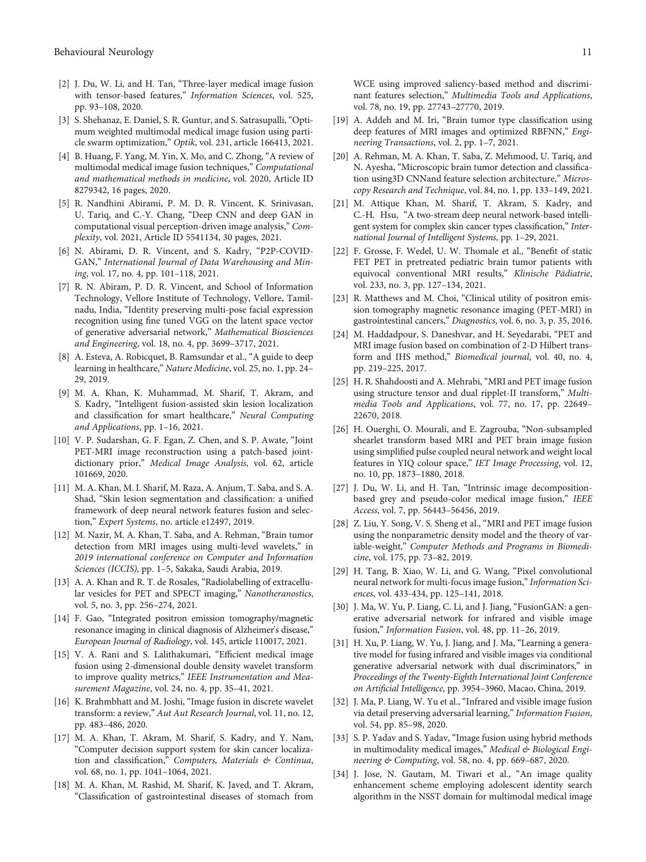- <span id="page-10-0"></span>[2] J. Du, W. Li, and H. Tan, "Three-layer medical image fusion with tensor-based features," Information Sciences, vol. 525, pp. 93–108, 2020.
- [3] S. Shehanaz, E. Daniel, S. R. Guntur, and S. Satrasupalli, "Optimum weighted multimodal medical image fusion using particle swarm optimization," Optik, vol. 231, article 166413, 2021.
- [4] B. Huang, F. Yang, M. Yin, X. Mo, and C. Zhong, "A review of multimodal medical image fusion techniques," Computational and mathematical methods in medicine, vol. 2020, Article ID 8279342, 16 pages, 2020.
- [5] R. Nandhini Abirami, P. M. D. R. Vincent, K. Srinivasan, U. Tariq, and C.-Y. Chang, "Deep CNN and deep GAN in computational visual perception-driven image analysis," Complexity, vol. 2021, Article ID 5541134, 30 pages, 2021.
- [6] N. Abirami, D. R. Vincent, and S. Kadry, "P2P-COVID-GAN," International Journal of Data Warehousing and Mining, vol. 17, no. 4, pp. 101–118, 2021.
- [7] R. N. Abiram, P. D. R. Vincent, and School of Information Technology, Vellore Institute of Technology, Vellore, Tamilnadu, India, "Identity preserving multi-pose facial expression recognition using fine tuned VGG on the latent space vector of generative adversarial network," Mathematical Biosciences and Engineering, vol. 18, no. 4, pp. 3699–3717, 2021.
- [8] A. Esteva, A. Robicquet, B. Ramsundar et al., "A guide to deep learning in healthcare," Nature Medicine, vol. 25, no. 1, pp. 24– 29, 2019.
- [9] M. A. Khan, K. Muhammad, M. Sharif, T. Akram, and S. Kadry, "Intelligent fusion-assisted skin lesion localization and classification for smart healthcare," Neural Computing and Applications, pp. 1–16, 2021.
- [10] V. P. Sudarshan, G. F. Egan, Z. Chen, and S. P. Awate, "Joint PET-MRI image reconstruction using a patch-based jointdictionary prior," Medical Image Analysis, vol. 62, article 101669, 2020.
- [11] M. A. Khan, M. I. Sharif, M. Raza, A. Anjum, T. Saba, and S. A. Shad, "Skin lesion segmentation and classification: a unified framework of deep neural network features fusion and selection," Expert Systems, no. article e12497, 2019.
- [12] M. Nazir, M. A. Khan, T. Saba, and A. Rehman, "Brain tumor detection from MRI images using multi-level wavelets," in 2019 international conference on Computer and Information Sciences (ICCIS), pp. 1–5, Sakaka, Saudi Arabia, 2019.
- [13] A. A. Khan and R. T. de Rosales, "Radiolabelling of extracellular vesicles for PET and SPECT imaging," Nanotheranostics, vol. 5, no. 3, pp. 256–274, 2021.
- [14] F. Gao, "Integrated positron emission tomography/magnetic resonance imaging in clinical diagnosis of Alzheimer's disease," European Journal of Radiology, vol. 145, article 110017, 2021.
- [15] V. A. Rani and S. Lalithakumari, "Efficient medical image fusion using 2-dimensional double density wavelet transform to improve quality metrics," IEEE Instrumentation and Measurement Magazine, vol. 24, no. 4, pp. 35–41, 2021.
- [16] K. Brahmbhatt and M. Joshi, "Image fusion in discrete wavelet transform: a review," Aut Aut Research Journal, vol. 11, no. 12, pp. 483–486, 2020.
- [17] M. A. Khan, T. Akram, M. Sharif, S. Kadry, and Y. Nam, "Computer decision support system for skin cancer localization and classification," Computers, Materials & Continua, vol. 68, no. 1, pp. 1041–1064, 2021.
- [18] M. A. Khan, M. Rashid, M. Sharif, K. Javed, and T. Akram, "Classification of gastrointestinal diseases of stomach from

WCE using improved saliency-based method and discriminant features selection," Multimedia Tools and Applications, vol. 78, no. 19, pp. 27743–27770, 2019.

- [19] A. Addeh and M. Iri, "Brain tumor type classification using deep features of MRI images and optimized RBFNN," Engineering Transactions, vol. 2, pp. 1–7, 2021.
- [20] A. Rehman, M. A. Khan, T. Saba, Z. Mehmood, U. Tariq, and N. Ayesha, "Microscopic brain tumor detection and classification using3D CNNand feature selection architecture," Microscopy Research and Technique, vol. 84, no. 1, pp. 133–149, 2021.
- [21] M. Attique Khan, M. Sharif, T. Akram, S. Kadry, and C.-H. Hsu, "A two-stream deep neural network-based intelligent system for complex skin cancer types classification," International Journal of Intelligent Systems, pp. 1–29, 2021.
- [22] F. Grosse, F. Wedel, U. W. Thomale et al., "Benefit of static FET PET in pretreated pediatric brain tumor patients with equivocal conventional MRI results," Klinische Pädiatrie, vol. 233, no. 3, pp. 127–134, 2021.
- [23] R. Matthews and M. Choi, "Clinical utility of positron emission tomography magnetic resonance imaging (PET-MRI) in gastrointestinal cancers," Diagnostics, vol. 6, no. 3, p. 35, 2016.
- [24] M. Haddadpour, S. Daneshvar, and H. Seyedarabi, "PET and MRI image fusion based on combination of 2-D Hilbert transform and IHS method," Biomedical journal, vol. 40, no. 4, pp. 219–225, 2017.
- [25] H. R. Shahdoosti and A. Mehrabi, "MRI and PET image fusion using structure tensor and dual ripplet-II transform," Multimedia Tools and Applications, vol. 77, no. 17, pp. 22649– 22670, 2018.
- [26] H. Ouerghi, O. Mourali, and E. Zagrouba, "Non-subsampled shearlet transform based MRI and PET brain image fusion using simplified pulse coupled neural network and weight local features in YIQ colour space," IET Image Processing, vol. 12, no. 10, pp. 1873–1880, 2018.
- [27] J. Du, W. Li, and H. Tan, "Intrinsic image decompositionbased grey and pseudo-color medical image fusion," IEEE Access, vol. 7, pp. 56443–56456, 2019.
- [28] Z. Liu, Y. Song, V. S. Sheng et al., "MRI and PET image fusion using the nonparametric density model and the theory of variable-weight," Computer Methods and Programs in Biomedicine, vol. 175, pp. 73–82, 2019.
- [29] H. Tang, B. Xiao, W. Li, and G. Wang, "Pixel convolutional neural network for multi-focus image fusion," Information Sciences, vol. 433-434, pp. 125–141, 2018.
- [30] J. Ma, W. Yu, P. Liang, C. Li, and J. Jiang, "FusionGAN: a generative adversarial network for infrared and visible image fusion," Information Fusion, vol. 48, pp. 11–26, 2019.
- [31] H. Xu, P. Liang, W. Yu, J. Jiang, and J. Ma, "Learning a generative model for fusing infrared and visible images via conditional generative adversarial network with dual discriminators," in Proceedings of the Twenty-Eighth International Joint Conference on Artificial Intelligence, pp. 3954–3960, Macao, China, 2019.
- [32] J. Ma, P. Liang, W. Yu et al., "Infrared and visible image fusion via detail preserving adversarial learning," Information Fusion, vol. 54, pp. 85–98, 2020.
- [33] S. P. Yadav and S. Yadav, "Image fusion using hybrid methods in multimodality medical images," Medical & Biological Engineering & Computing, vol. 58, no. 4, pp. 669–687, 2020.
- [34] J. Jose, N. Gautam, M. Tiwari et al., "An image quality enhancement scheme employing adolescent identity search algorithm in the NSST domain for multimodal medical image